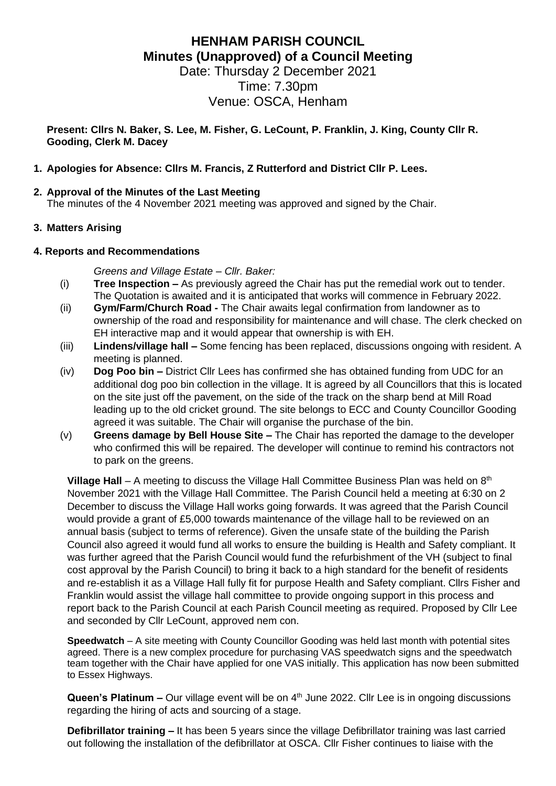# **HENHAM PARISH COUNCIL Minutes (Unapproved) of a Council Meeting**

Date: Thursday 2 December 2021 Time: 7.30pm Venue: OSCA, Henham

**Present: Cllrs N. Baker, S. Lee, M. Fisher, G. LeCount, P. Franklin, J. King, County Cllr R. Gooding, Clerk M. Dacey**

#### **1. Apologies for Absence: Cllrs M. Francis, Z Rutterford and District Cllr P. Lees.**

#### **2. Approval of the Minutes of the Last Meeting**

The minutes of the 4 November 2021 meeting was approved and signed by the Chair.

#### **3. Matters Arising**

#### **4. Reports and Recommendations**

*Greens and Village Estate – Cllr. Baker:*

- (i) **Tree Inspection –** As previously agreed the Chair has put the remedial work out to tender. The Quotation is awaited and it is anticipated that works will commence in February 2022.
- (ii) **Gym/Farm/Church Road -** The Chair awaits legal confirmation from landowner as to ownership of the road and responsibility for maintenance and will chase. The clerk checked on EH interactive map and it would appear that ownership is with EH.
- (iii) **Lindens/village hall –** Some fencing has been replaced, discussions ongoing with resident. A meeting is planned.
- (iv) **Dog Poo bin –** District Cllr Lees has confirmed she has obtained funding from UDC for an additional dog poo bin collection in the village. It is agreed by all Councillors that this is located on the site just off the pavement, on the side of the track on the sharp bend at Mill Road leading up to the old cricket ground. The site belongs to ECC and County Councillor Gooding agreed it was suitable. The Chair will organise the purchase of the bin.
- (v) **Greens damage by Bell House Site –** The Chair has reported the damage to the developer who confirmed this will be repaired. The developer will continue to remind his contractors not to park on the greens.

**Village Hall** – A meeting to discuss the Village Hall Committee Business Plan was held on 8<sup>th</sup> November 2021 with the Village Hall Committee. The Parish Council held a meeting at 6:30 on 2 December to discuss the Village Hall works going forwards. It was agreed that the Parish Council would provide a grant of £5,000 towards maintenance of the village hall to be reviewed on an annual basis (subject to terms of reference). Given the unsafe state of the building the Parish Council also agreed it would fund all works to ensure the building is Health and Safety compliant. It was further agreed that the Parish Council would fund the refurbishment of the VH (subject to final cost approval by the Parish Council) to bring it back to a high standard for the benefit of residents and re-establish it as a Village Hall fully fit for purpose Health and Safety compliant. Cllrs Fisher and Franklin would assist the village hall committee to provide ongoing support in this process and report back to the Parish Council at each Parish Council meeting as required. Proposed by Cllr Lee and seconded by Cllr LeCount, approved nem con.

**Speedwatch** – A site meeting with County Councillor Gooding was held last month with potential sites agreed. There is a new complex procedure for purchasing VAS speedwatch signs and the speedwatch team together with the Chair have applied for one VAS initially. This application has now been submitted to Essex Highways.

**Queen's Platinum –** Our village event will be on 4<sup>th</sup> June 2022. Cllr Lee is in ongoing discussions regarding the hiring of acts and sourcing of a stage.

**Defibrillator training –** It has been 5 years since the village Defibrillator training was last carried out following the installation of the defibrillator at OSCA. Cllr Fisher continues to liaise with the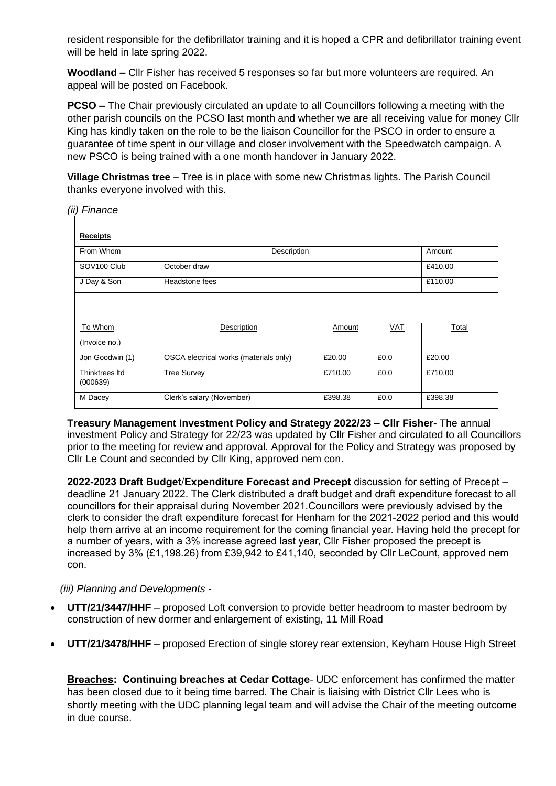resident responsible for the defibrillator training and it is hoped a CPR and defibrillator training event will be held in late spring 2022.

**Woodland –** Cllr Fisher has received 5 responses so far but more volunteers are required. An appeal will be posted on Facebook.

**PCSO –** The Chair previously circulated an update to all Councillors following a meeting with the other parish councils on the PCSO last month and whether we are all receiving value for money Cllr King has kindly taken on the role to be the liaison Councillor for the PSCO in order to ensure a guarantee of time spent in our village and closer involvement with the Speedwatch campaign. A new PSCO is being trained with a one month handover in January 2022.

**Village Christmas tree** – Tree is in place with some new Christmas lights. The Parish Council thanks everyone involved with this.

*(ii) Finance*

| <b>Receipts</b>            |                                        |         |      |         |
|----------------------------|----------------------------------------|---------|------|---------|
| From Whom                  | Description                            |         |      | Amount  |
| SOV <sub>100</sub> Club    | October draw                           |         |      | £410.00 |
| J Day & Son                | Headstone fees                         |         |      | £110.00 |
|                            |                                        |         |      |         |
| To Whom                    | Description                            | Amount  | VAT  | Total   |
| (Invoice no.)              |                                        |         |      |         |
| Jon Goodwin (1)            | OSCA electrical works (materials only) | £20.00  | £0.0 | £20.00  |
| Thinktrees Itd<br>(000639) | <b>Tree Survey</b>                     | £710.00 | £0.0 | £710.00 |
| M Dacey                    | Clerk's salary (November)              | £398.38 | £0.0 | £398.38 |

**Treasury Management Investment Policy and Strategy 2022/23 – Cllr Fisher-** The annual investment Policy and Strategy for 22/23 was updated by Cllr Fisher and circulated to all Councillors prior to the meeting for review and approval. Approval for the Policy and Strategy was proposed by Cllr Le Count and seconded by Cllr King, approved nem con.

**2022-2023 Draft Budget**/**Expenditure Forecast and Precept** discussion for setting of Precept – deadline 21 January 2022. The Clerk distributed a draft budget and draft expenditure forecast to all councillors for their appraisal during November 2021.Councillors were previously advised by the clerk to consider the draft expenditure forecast for Henham for the 2021-2022 period and this would help them arrive at an income requirement for the coming financial year. Having held the precept for a number of years, with a 3% increase agreed last year, Cllr Fisher proposed the precept is increased by 3% (£1,198.26) from £39,942 to £41,140, seconded by Cllr LeCount, approved nem con.

*(iii) Planning and Developments -*

- **UTT/21/3447/HHF** proposed Loft conversion to provide better headroom to master bedroom by construction of new dormer and enlargement of existing, 11 Mill Road
- **UTT/21/3478/HHF** proposed Erection of single storey rear extension, Keyham House High Street

**Breaches: Continuing breaches at Cedar Cottage**- UDC enforcement has confirmed the matter has been closed due to it being time barred. The Chair is liaising with District Cllr Lees who is shortly meeting with the UDC planning legal team and will advise the Chair of the meeting outcome in due course.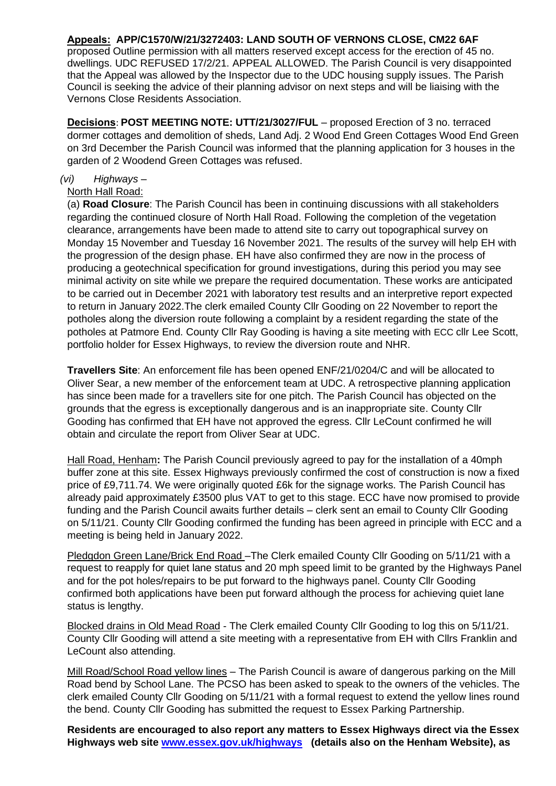#### **Appeals: APP/C1570/W/21/3272403: LAND SOUTH OF VERNONS CLOSE, CM22 6AF**

proposed Outline permission with all matters reserved except access for the erection of 45 no. dwellings. UDC REFUSED 17/2/21. APPEAL ALLOWED. The Parish Council is very disappointed that the Appeal was allowed by the Inspector due to the UDC housing supply issues. The Parish Council is seeking the advice of their planning advisor on next steps and will be liaising with the Vernons Close Residents Association.

**Decisions**: **POST MEETING NOTE: UTT/21/3027/FUL** – proposed Erection of 3 no. terraced dormer cottages and demolition of sheds, Land Adj. 2 Wood End Green Cottages Wood End Green on 3rd December the Parish Council was informed that the planning application for 3 houses in the garden of 2 Woodend Green Cottages was refused.

#### *(vi) Highways –*

#### North Hall Road:

(a) **Road Closure**: The Parish Council has been in continuing discussions with all stakeholders regarding the continued closure of North Hall Road. Following the completion of the vegetation clearance, arrangements have been made to attend site to carry out topographical survey on Monday 15 November and Tuesday 16 November 2021. The results of the survey will help EH with the progression of the design phase. EH have also confirmed they are now in the process of producing a geotechnical specification for ground investigations, during this period you may see minimal activity on site while we prepare the required documentation. These works are anticipated to be carried out in December 2021 with laboratory test results and an interpretive report expected to return in January 2022.The clerk emailed County Cllr Gooding on 22 November to report the potholes along the diversion route following a complaint by a resident regarding the state of the potholes at Patmore End. County Cllr Ray Gooding is having a site meeting with ECC cllr Lee Scott, portfolio holder for Essex Highways, to review the diversion route and NHR.

**Travellers Site**: An enforcement file has been opened ENF/21/0204/C and will be allocated to Oliver Sear, a new member of the enforcement team at UDC. A retrospective planning application has since been made for a travellers site for one pitch. The Parish Council has objected on the grounds that the egress is exceptionally dangerous and is an inappropriate site. County Cllr Gooding has confirmed that EH have not approved the egress. Cllr LeCount confirmed he will obtain and circulate the report from Oliver Sear at UDC.

Hall Road, Henham**:** The Parish Council previously agreed to pay for the installation of a 40mph buffer zone at this site. Essex Highways previously confirmed the cost of construction is now a fixed price of £9,711.74. We were originally quoted £6k for the signage works. The Parish Council has already paid approximately £3500 plus VAT to get to this stage. ECC have now promised to provide funding and the Parish Council awaits further details – clerk sent an email to County Cllr Gooding on 5/11/21. County Cllr Gooding confirmed the funding has been agreed in principle with ECC and a meeting is being held in January 2022.

Pledgdon Green Lane/Brick End Road –The Clerk emailed County Cllr Gooding on 5/11/21 with a request to reapply for quiet lane status and 20 mph speed limit to be granted by the Highways Panel and for the pot holes/repairs to be put forward to the highways panel. County Cllr Gooding confirmed both applications have been put forward although the process for achieving quiet lane status is lengthy.

Blocked drains in Old Mead Road - The Clerk emailed County Cllr Gooding to log this on 5/11/21. County Cllr Gooding will attend a site meeting with a representative from EH with Cllrs Franklin and LeCount also attending.

Mill Road/School Road yellow lines – The Parish Council is aware of dangerous parking on the Mill Road bend by School Lane. The PCSO has been asked to speak to the owners of the vehicles. The clerk emailed County Cllr Gooding on 5/11/21 with a formal request to extend the yellow lines round the bend. County Cllr Gooding has submitted the request to Essex Parking Partnership.

**Residents are encouraged to also report any matters to Essex Highways direct via the Essex Highways web site [www.essex.gov.uk/highways](http://www.essex.gov.uk/highways) (details also on the Henham Website), as**